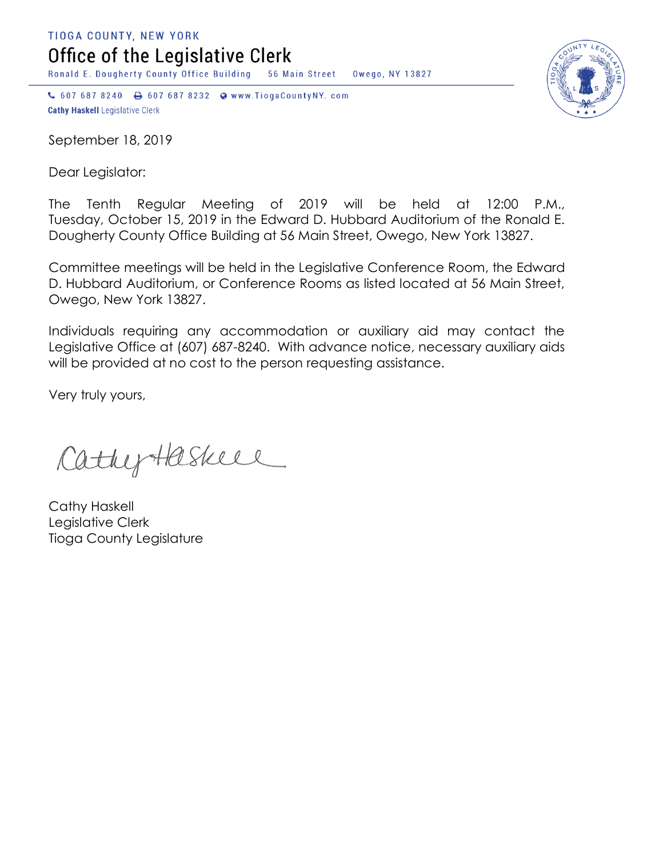TIOGA COUNTY, NEW YORK

Office of the Legislative Clerk

Ronald E. Dougherty County Office Building 56 Main Street Owego, NY 13827

↓ 607 687 8240 → 607 687 8232 → www.TiogaCountyNY.com **Cathy Haskell Legislative Clerk** 

September 18, 2019

Dear Legislator:

The Tenth Regular Meeting of 2019 will be held at 12:00 P.M., Tuesday, October 15, 2019 in the Edward D. Hubbard Auditorium of the Ronald E. Dougherty County Office Building at 56 Main Street, Owego, New York 13827.

Committee meetings will be held in the Legislative Conference Room, the Edward D. Hubbard Auditorium, or Conference Rooms as listed located at 56 Main Street, Owego, New York 13827.

Individuals requiring any accommodation or auxiliary aid may contact the Legislative Office at (607) 687-8240. With advance notice, necessary auxiliary aids will be provided at no cost to the person requesting assistance.

Very truly yours,

Cathyteskiel

Cathy Haskell Legislative Clerk Tioga County Legislature